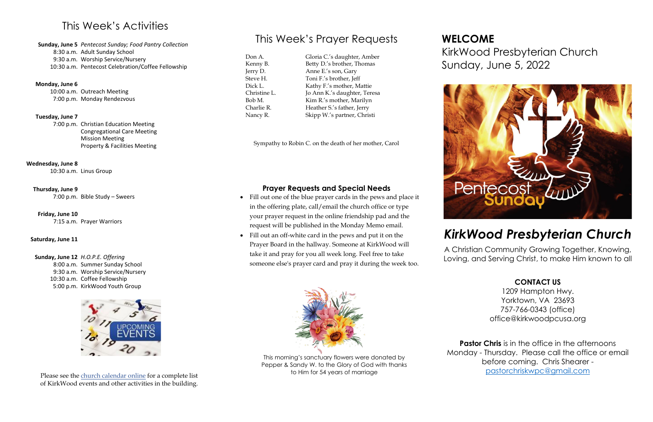## This Week's Activities

**Sunday, June 5** *Pentecost Sunday; Food Pantry Collection* 8:30 a.m. Adult Sunday School 9:30 a.m. Worship Service/Nursery 10:30 a.m. Pentecost Celebration/Coffee Fellowship

#### **Monday, June 6**

10:00 a.m. Outreach Meeting 7:00 p.m. Monday Rendezvous

#### **Tuesday, June 7**

7:00 p.m. Christian Education Meeting Congregational Care Meeting Mission Meeting Property & Facilities Meeting

#### **Wednesday, June 8**

10:30 a.m. Linus Group

#### **Thursday, June 9**

7:00 p.m. Bible Study – Sweers

#### **Friday, June 10**

7:15 a.m. Prayer Warriors

#### **Saturday, June 11**

**Sunday, June 12** *H.O.P.E. Offering* 8:00 a.m. Summer Sunday School 9:30 a.m. Worship Service/Nursery 10:30 a.m. Coffee Fellowship 5:00 p.m. KirkWood Youth Group



## This Week's Prayer Requests

Don A. Kenny B. Jerry D. Steve H. Dick L. Christine L. Bob M. Charlie R. Nancy R.

Gloria C.'s daughter, Amber Betty D.'s brother, Thomas Anne E.'s son, Gary Toni F.'s brother, Jeff Kathy F.'s mother, Mattie Jo Ann K.'s daughter, Teresa Kim R.'s mother, Marilyn Heather S.'s father, Jerry Skipp W.'s partner, Christi

> **Pastor Chris** is in the office in the afternoons Monday - Thursday. Please call the office or email before coming. Chris Shearer [pastorchriskwpc@gmail.com](mailto:pastorchriskwpc@gmail.com)

Sympathy to Robin C. on the death of her mother, Carol

#### **Prayer Requests and Special Needs**

- Fill out one of the blue prayer cards in the pews and place it in the offering plate, call/email the church office or type your prayer request in the online friendship pad and the request will be published in the Monday Memo email.
- Fill out an off-white card in the pews and put it on the Prayer Board in the hallway. Someone at KirkWood will take it and pray for you all week long. Feel free to take someone else's prayer card and pray it during the week too.





# KirkWood Presbyterian Church Sunday, June 5, 2022

## *KirkWood Presbyterian Church*

A Christian Community Growing Together, Knowing, Loving, and Serving Christ, to make Him known to all



#### **CONTACT US**

1209 Hampton Hwy. Yorktown, VA 23693 757-766-0343 (office) office@kirkwoodpcusa.org

Please see the [church calendar online](https://kirkwoodpcusa.org/events/) for a complete list of KirkWood events and other activities in the building.

This morning's sanctuary flowers were donated by Pepper & Sandy W. to the Glory of God with thanks to Him for 54 years of marriage